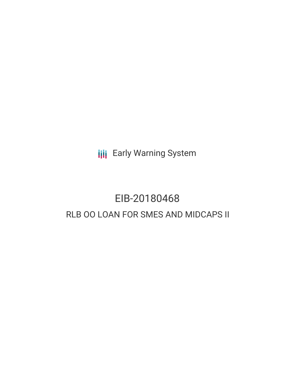**III** Early Warning System

## EIB-20180468 RLB OO LOAN FOR SMES AND MIDCAPS II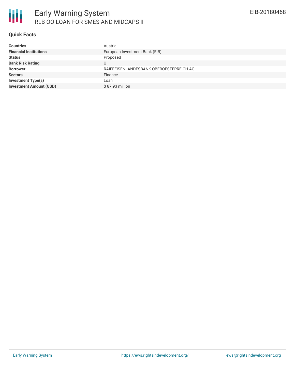

## **Quick Facts**

| <b>Countries</b>               | Austria                                 |  |  |  |
|--------------------------------|-----------------------------------------|--|--|--|
| <b>Financial Institutions</b>  | European Investment Bank (EIB)          |  |  |  |
| <b>Status</b>                  | Proposed                                |  |  |  |
| <b>Bank Risk Rating</b>        |                                         |  |  |  |
| <b>Borrower</b>                | RAIFFEISENLANDESBANK OBEROESTERREICH AG |  |  |  |
| <b>Sectors</b>                 | Finance                                 |  |  |  |
| Investment Type(s)             | Loan                                    |  |  |  |
| <b>Investment Amount (USD)</b> | \$87.93 million                         |  |  |  |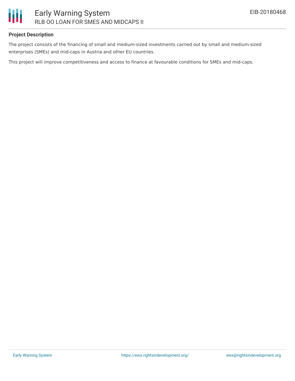

## **Project Description**

The project consists of the financing of small and medium-sized investments carried out by small and medium-sized enterprises (SMEs) and mid-caps in Austria and other EU countries.

This project will improve competitiveness and access to finance at favourable conditions for SMEs and mid-caps.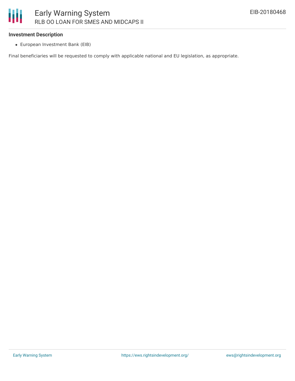## Ш Early Warning System RLB OO LOAN FOR SMES AND MIDCAPS II

#### **Investment Description**

European Investment Bank (EIB)

Final beneficiaries will be requested to comply with applicable national and EU legislation, as appropriate.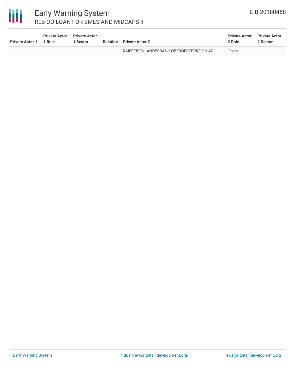# 冊

## Early Warning System RLB OO LOAN FOR SMES AND MIDCAPS II

| <b>Private Actor 1</b> | <b>Private Actor</b><br>1 Role | <b>Private Actor</b><br>Sector | Relation | <b>Private Actor 2</b>                  | <b>Private Actor</b><br>2 Role | <b>Private Actor</b><br>2 Sector |
|------------------------|--------------------------------|--------------------------------|----------|-----------------------------------------|--------------------------------|----------------------------------|
| $\sim$                 |                                | $\sim$                         | $\sim$   | RAIFFEISENLANDESBANK OBEROESTERREICH AG | Client                         | $\overline{\phantom{a}}$         |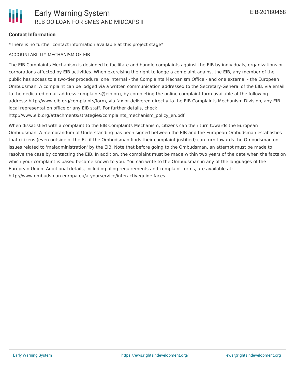## **Contact Information**

\*There is no further contact information available at this project stage\*

### ACCOUNTABILITY MECHANISM OF EIB

The EIB Complaints Mechanism is designed to facilitate and handle complaints against the EIB by individuals, organizations or corporations affected by EIB activities. When exercising the right to lodge a complaint against the EIB, any member of the public has access to a two-tier procedure, one internal - the Complaints Mechanism Office - and one external - the European Ombudsman. A complaint can be lodged via a written communication addressed to the Secretary-General of the EIB, via email to the dedicated email address complaints@eib.org, by completing the online complaint form available at the following address: http://www.eib.org/complaints/form, via fax or delivered directly to the EIB Complaints Mechanism Division, any EIB local representation office or any EIB staff. For further details, check:

http://www.eib.org/attachments/strategies/complaints\_mechanism\_policy\_en.pdf

When dissatisfied with a complaint to the EIB Complaints Mechanism, citizens can then turn towards the European Ombudsman. A memorandum of Understanding has been signed between the EIB and the European Ombudsman establishes that citizens (even outside of the EU if the Ombudsman finds their complaint justified) can turn towards the Ombudsman on issues related to 'maladministration' by the EIB. Note that before going to the Ombudsman, an attempt must be made to resolve the case by contacting the EIB. In addition, the complaint must be made within two years of the date when the facts on which your complaint is based became known to you. You can write to the Ombudsman in any of the languages of the European Union. Additional details, including filing requirements and complaint forms, are available at: http://www.ombudsman.europa.eu/atyourservice/interactiveguide.faces